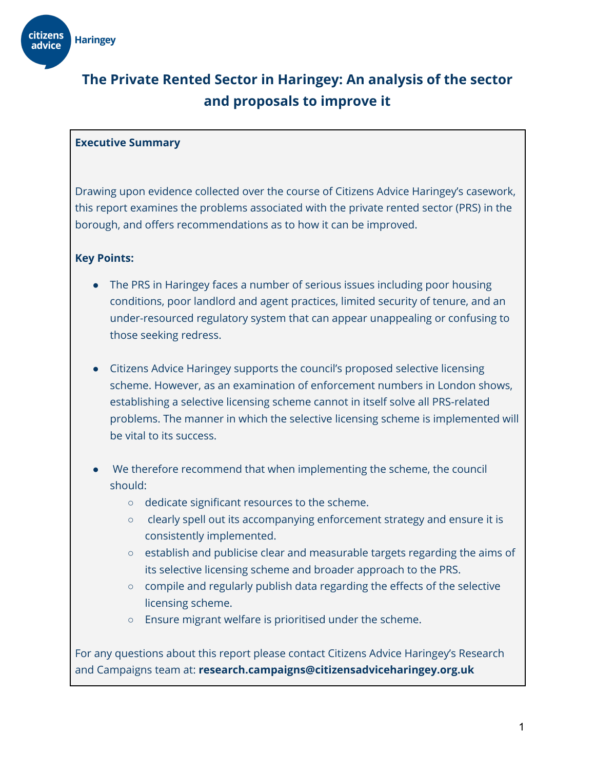

# **The Private Rented Sector in Haringey: An analysis of the sector and proposals to improve it**

#### **Executive Summary**

Drawing upon evidence collected over the course of Citizens Advice Haringey's casework, this report examines the problems associated with the private rented sector (PRS) in the borough, and offers recommendations as to how it can be improved.

#### **Key Points:**

- The PRS in Haringey faces a number of serious issues including poor housing conditions, poor landlord and agent practices, limited security of tenure, and an under-resourced regulatory system that can appear unappealing or confusing to those seeking redress.
- Citizens Advice Haringey supports the council's proposed selective licensing scheme. However, as an examination of enforcement numbers in London shows, establishing a selective licensing scheme cannot in itself solve all PRS-related problems. The manner in which the selective licensing scheme is implemented will be vital to its success.
- We therefore recommend that when implementing the scheme, the council should:
	- dedicate significant resources to the scheme.
	- clearly spell out its accompanying enforcement strategy and ensure it is consistently implemented.
	- establish and publicise clear and measurable targets regarding the aims of its selective licensing scheme and broader approach to the PRS.
	- compile and regularly publish data regarding the effects of the selective licensing scheme.
	- Ensure migrant welfare is prioritised under the scheme.

For any questions about this report please contact Citizens Advice Haringey's Research and Campaigns team at: **research.campaigns@citizensadviceharingey.org.uk**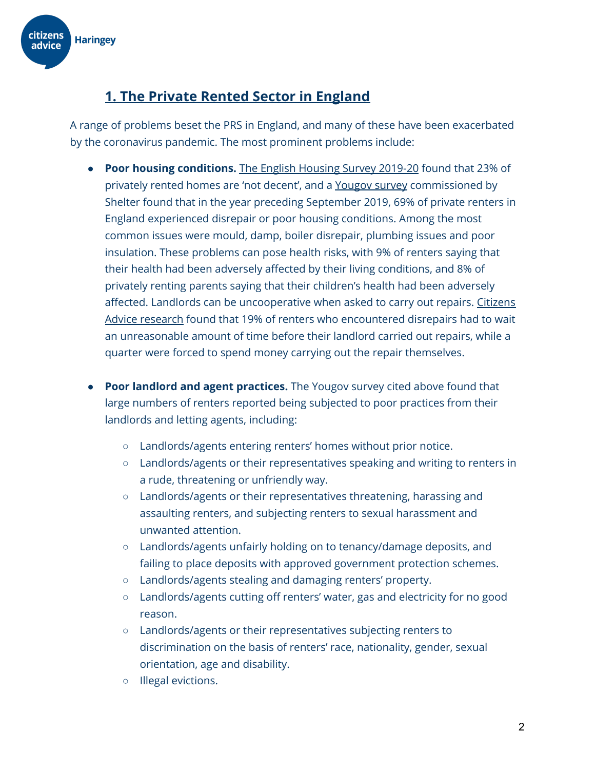

## **1. The Private Rented Sector in England**

A range of problems beset the PRS in England, and many of these have been exacerbated by the coronavirus pandemic. The most prominent problems include:

- **Poor housing conditions.** The English [Housing](https://assets.publishing.service.gov.uk/government/uploads/system/uploads/attachment_data/file/945013/2019-20_EHS_Headline_Report.pdf) Survey 2019-20 found that 23% of privately rented homes are 'not decent', and a [Yougov](https://assets.ctfassets.net/6sxvmndnpn0s/3R0HmOiANKhLWP5y5XCrz9/1c13d81c0d37af0090e741783af997c1/Time_for_Change_-_Making_Renting_Fairer_for_Private_Renters.pdf) survey commissioned by Shelter found that in the year preceding September 2019, 69% of private renters in England experienced disrepair or poor housing conditions. Among the most common issues were mould, damp, boiler disrepair, plumbing issues and poor insulation. These problems can pose health risks, with 9% of renters saying that their health had been adversely affected by their living conditions, and 8% of privately renting parents saying that their children's health had been adversely affected. Landlords can be uncooperative when asked to carry out repairs. [Citizens](https://www.citizensadvice.org.uk/Global/CitizensAdvice/Housing%20Publications/Getting%20the%20House%20in%20Order.pdf) Advice [research](https://www.citizensadvice.org.uk/Global/CitizensAdvice/Housing%20Publications/Getting%20the%20House%20in%20Order.pdf) found that 19% of renters who encountered disrepairs had to wait an unreasonable amount of time before their landlord carried out repairs, while a quarter were forced to spend money carrying out the repair themselves.
- **● Poor landlord and agent practices.** The Yougov survey cited above found that large numbers of renters reported being subjected to poor practices from their landlords and letting agents, including:
	- Landlords/agents entering renters' homes without prior notice.
	- Landlords/agents or their representatives speaking and writing to renters in a rude, threatening or unfriendly way.
	- Landlords/agents or their representatives threatening, harassing and assaulting renters, and subjecting renters to sexual harassment and unwanted attention.
	- Landlords/agents unfairly holding on to tenancy/damage deposits, and failing to place deposits with approved government protection schemes.
	- Landlords/agents stealing and damaging renters' property.
	- Landlords/agents cutting off renters' water, gas and electricity for no good reason.
	- Landlords/agents or their representatives subjecting renters to discrimination on the basis of renters' race, nationality, gender, sexual orientation, age and disability.
	- Illegal evictions.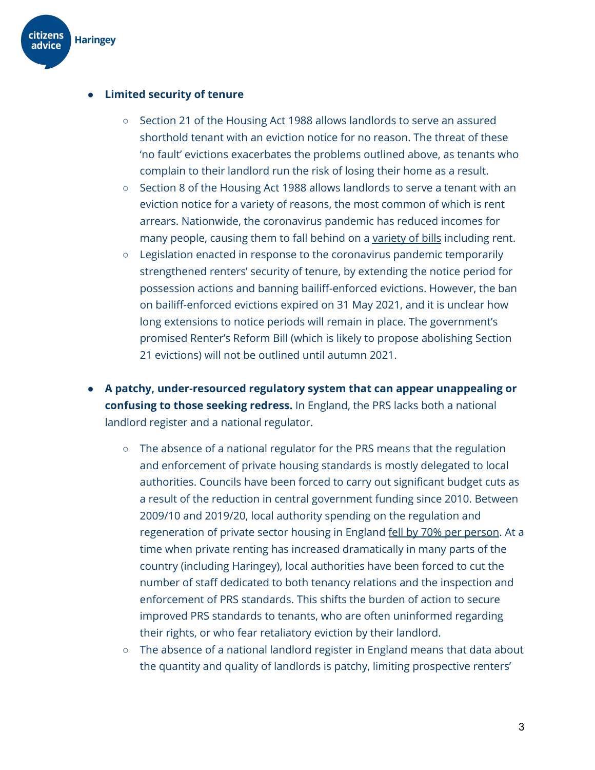

#### **● Limited security of tenure**

- **○** Section 21 of the Housing Act 1988 allows landlords to serve an assured shorthold tenant with an eviction notice for no reason. The threat of these 'no fault' evictions exacerbates the problems outlined above, as tenants who complain to their landlord run the risk of losing their home as a result.
- **○** Section 8 of the Housing Act 1988 allows landlords to serve a tenant with an eviction notice for a variety of reasons, the most common of which is rent arrears. Nationwide, the coronavirus pandemic has reduced incomes for many people, causing them to fall behind on a [variety](https://www.citizensadvice.org.uk/Global/CitizensAdvice/Debt%20and%20Money%20Publications/Lockdown%20debts.pdf) of bills including rent.
- **○** Legislation enacted in response to the coronavirus pandemic temporarily strengthened renters' security of tenure, by extending the notice period for possession actions and banning bailiff-enforced evictions. However, the ban on bailiff-enforced evictions expired on 31 May 2021, and it is unclear how long extensions to notice periods will remain in place. The government's promised Renter's Reform Bill (which is likely to propose abolishing Section 21 evictions) will not be outlined until autumn 2021.
- **● A patchy, under-resourced regulatory system that can appear unappealing or confusing to those seeking redress.** In England, the PRS lacks both a national landlord register and a national regulator.
	- The absence of a national regulator for the PRS means that the regulation and enforcement of private housing standards is mostly delegated to local authorities. Councils have been forced to carry out significant budget cuts as a result of the reduction in central government funding since 2010. Between 2009/10 and 2019/20, local authority spending on the regulation and regeneration of private sector housing in England fell by 70% per [person.](https://ifs.org.uk/uploads/English-local-government-funding-trends-and-challenges-in-2019-and-beyond-IFS-Report-166.pdf) At a time when private renting has increased dramatically in many parts of the country (including Haringey), local authorities have been forced to cut the number of staff dedicated to both tenancy relations and the inspection and enforcement of PRS standards. This shifts the burden of action to secure improved PRS standards to tenants, who are often uninformed regarding their rights, or who fear retaliatory eviction by their landlord.
	- $\circ$  The absence of a national landlord register in England means that data about the quantity and quality of landlords is patchy, limiting prospective renters'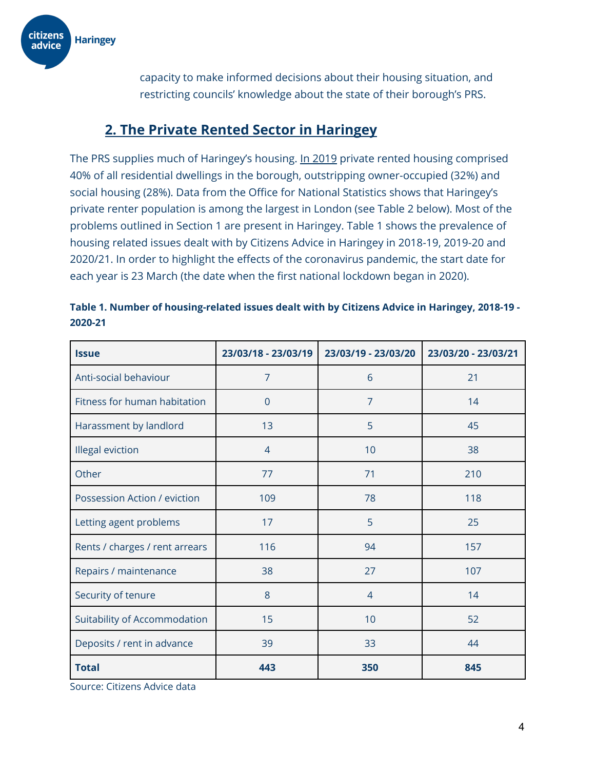

capacity to make informed decisions about their housing situation, and restricting councils' knowledge about the state of their borough's PRS.

### **2. The Private Rented Sector in Haringey**

The PRS supplies much of Haringey's housing. In [2019](https://www.haringey.gov.uk/sites/haringeygovuk/files/evidence_report_for_consultation_final.pdf) private rented housing comprised 40% of all residential dwellings in the borough, outstripping owner-occupied (32%) and social housing (28%). Data from the Office for National Statistics shows that Haringey's private renter population is among the largest in London (see Table 2 below). Most of the problems outlined in Section 1 are present in Haringey. Table 1 shows the prevalence of housing related issues dealt with by Citizens Advice in Haringey in 2018-19, 2019-20 and 2020/21. In order to highlight the effects of the coronavirus pandemic, the start date for each year is 23 March (the date when the first national lockdown began in 2020).

| <b>Issue</b>                   | 23/03/18 - 23/03/19 | 23/03/19 - 23/03/20 | 23/03/20 - 23/03/21 |
|--------------------------------|---------------------|---------------------|---------------------|
| Anti-social behaviour          | $\overline{7}$      | 6                   | 21                  |
| Fitness for human habitation   | $\overline{0}$      | $\overline{7}$      | 14                  |
| Harassment by landlord         | 13                  | 5                   | 45                  |
| Illegal eviction               | $\overline{4}$      | 10                  | 38                  |
| Other                          | 77                  | 71                  | 210                 |
| Possession Action / eviction   | 109                 | 78                  | 118                 |
| Letting agent problems         | 17                  | 5                   | 25                  |
| Rents / charges / rent arrears | 116                 | 94                  | 157                 |
| Repairs / maintenance          | 38                  | 27                  | 107                 |
| Security of tenure             | 8                   | $\overline{4}$      | 14                  |
| Suitability of Accommodation   | 15                  | 10                  | 52                  |
| Deposits / rent in advance     | 39                  | 33                  | 44                  |
| <b>Total</b>                   | 443                 | 350                 | 845                 |

| Table 1. Number of housing-related issues dealt with by Citizens Advice in Haringey, 2018-19 - |  |
|------------------------------------------------------------------------------------------------|--|
| 2020-21                                                                                        |  |

Source: Citizens Advice data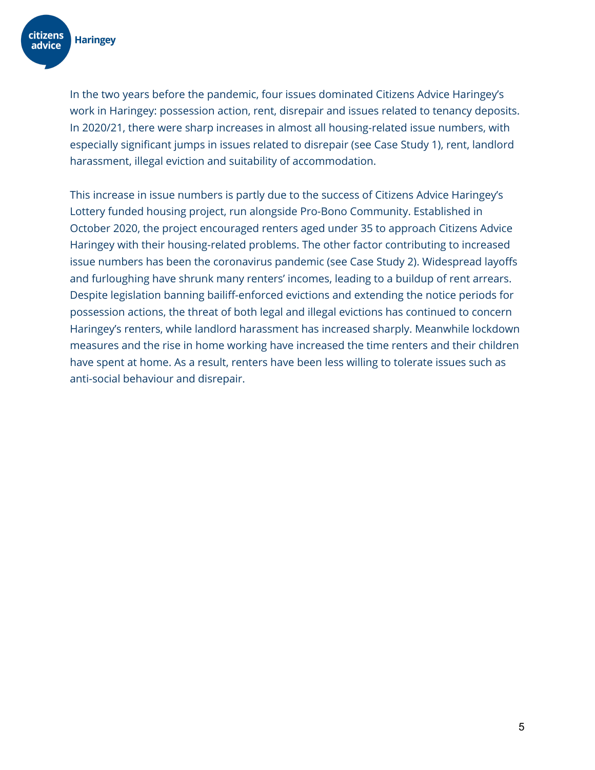

In the two years before the pandemic, four issues dominated Citizens Advice Haringey's work in Haringey: possession action, rent, disrepair and issues related to tenancy deposits. In 2020/21, there were sharp increases in almost all housing-related issue numbers, with especially significant jumps in issues related to disrepair (see Case Study 1), rent, landlord harassment, illegal eviction and suitability of accommodation.

This increase in issue numbers is partly due to the success of Citizens Advice Haringey's Lottery funded housing project, run alongside Pro-Bono Community. Established in October 2020, the project encouraged renters aged under 35 to approach Citizens Advice Haringey with their housing-related problems. The other factor contributing to increased issue numbers has been the coronavirus pandemic (see Case Study 2). Widespread layoffs and furloughing have shrunk many renters' incomes, leading to a buildup of rent arrears. Despite legislation banning bailiff-enforced evictions and extending the notice periods for possession actions, the threat of both legal and illegal evictions has continued to concern Haringey's renters, while landlord harassment has increased sharply. Meanwhile lockdown measures and the rise in home working have increased the time renters and their children have spent at home. As a result, renters have been less willing to tolerate issues such as anti-social behaviour and disrepair.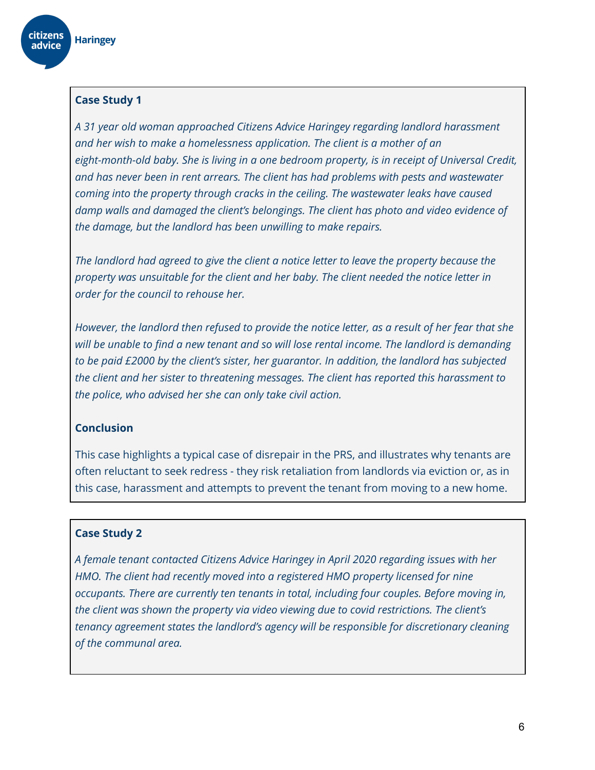

#### **Case Study 1**

*A 31 year old woman approached Citizens Advice Haringey regarding landlord harassment and her wish to make a homelessness application. The client is a mother of an eight-month-old baby. She is living in a one bedroom property, is in receipt of Universal Credit, and has never been in rent arrears. The client has had problems with pests and wastewater coming into the property through cracks in the ceiling. The wastewater leaks have caused damp walls and damaged the client's belongings. The client has photo and video evidence of the damage, but the landlord has been unwilling to make repairs.*

*The landlord had agreed to give the client a notice letter to leave the property because the property was unsuitable for the client and her baby. The client needed the notice letter in order for the council to rehouse her.*

*However, the landlord then refused to provide the notice letter, as a result of her fear that she will be unable to find a new tenant and so will lose rental income. The landlord is demanding to be paid £2000 by the client's sister, her guarantor. In addition, the landlord has subjected the client and her sister to threatening messages. The client has reported this harassment to the police, who advised her she can only take civil action.*

#### **Conclusion**

This case highlights a typical case of disrepair in the PRS, and illustrates why tenants are often reluctant to seek redress - they risk retaliation from landlords via eviction or, as in this case, harassment and attempts to prevent the tenant from moving to a new home.

#### **Case Study 2**

*A female tenant contacted Citizens Advice Haringey in April 2020 regarding issues with her HMO. The client had recently moved into a registered HMO property licensed for nine occupants. There are currently ten tenants in total, including four couples. Before moving in, the client was shown the property via video viewing due to covid restrictions. The client's tenancy agreement states the landlord's agency will be responsible for discretionary cleaning of the communal area.*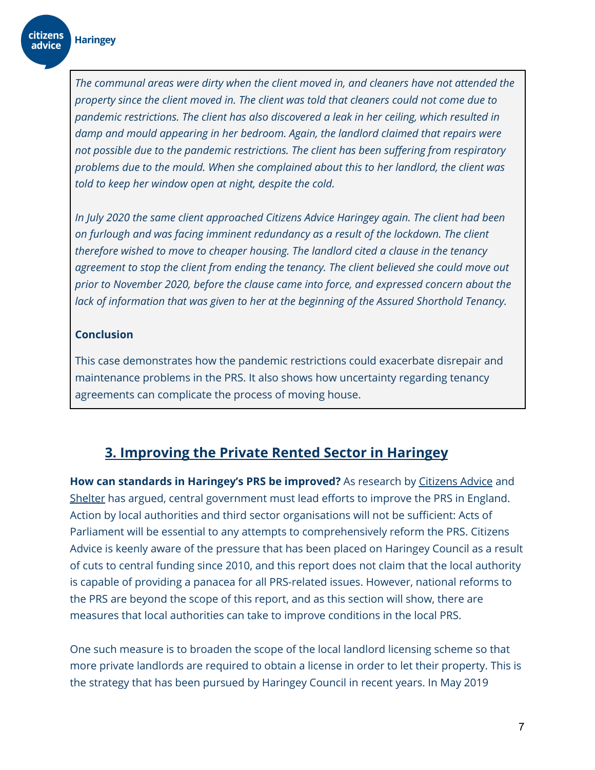citizens

advice

*The communal areas were dirty when the client moved in, and cleaners have not attended the property since the client moved in. The client was told that cleaners could not come due to pandemic restrictions. The client has also discovered a leak in her ceiling, which resulted in damp and mould appearing in her bedroom. Again, the landlord claimed that repairs were not possible due to the pandemic restrictions. The client has been suffering from respiratory problems due to the mould. When she complained about this to her landlord, the client was told to keep her window open at night, despite the cold.*

*In July 2020 the same client approached Citizens Advice Haringey again. The client had been on furlough and was facing imminent redundancy as a result of the lockdown. The client therefore wished to move to cheaper housing. The landlord cited a clause in the tenancy agreement to stop the client from ending the tenancy. The client believed she could move out prior to November 2020, before the clause came into force, and expressed concern about the lack of information that was given to her at the beginning of the Assured Shorthold Tenancy.*

#### **Conclusion**

This case demonstrates how the pandemic restrictions could exacerbate disrepair and maintenance problems in the PRS. It also shows how uncertainty regarding tenancy agreements can complicate the process of moving house.

### **3. Improving the Private Rented Sector in Haringey**

**How can standards in Haringey's PRS be improved?** As research by [Citizens](https://www.citizensadvice.org.uk/Global/CitizensAdvice/Housing%20Publications/Getting%20the%20House%20in%20Order.pdf) Advice and [Shelter](https://assets.ctfassets.net/6sxvmndnpn0s/3R0HmOiANKhLWP5y5XCrz9/1c13d81c0d37af0090e741783af997c1/Time_for_Change_-_Making_Renting_Fairer_for_Private_Renters.pdf) has argued, central government must lead efforts to improve the PRS in England. Action by local authorities and third sector organisations will not be sufficient: Acts of Parliament will be essential to any attempts to comprehensively reform the PRS. Citizens Advice is keenly aware of the pressure that has been placed on Haringey Council as a result of cuts to central funding since 2010, and this report does not claim that the local authority is capable of providing a panacea for all PRS-related issues. However, national reforms to the PRS are beyond the scope of this report, and as this section will show, there are measures that local authorities can take to improve conditions in the local PRS.

One such measure is to broaden the scope of the local landlord licensing scheme so that more private landlords are required to obtain a license in order to let their property. This is the strategy that has been pursued by Haringey Council in recent years. In May 2019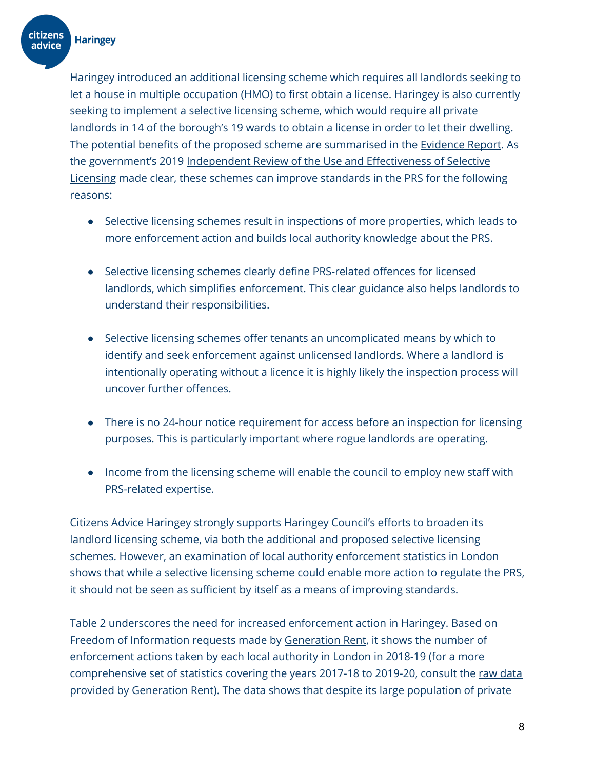**citizens** 

advice

Haringey introduced an additional licensing scheme which requires all landlords seeking to let a house in multiple occupation (HMO) to first obtain a license. Haringey is also currently seeking to implement a selective licensing scheme, which would require all private landlords in 14 of the borough's 19 wards to obtain a license in order to let their dwelling. The potential benefits of the proposed scheme are summarised in the [Evidence](https://www.haringey.gov.uk/sites/haringeygovuk/files/evidence_report_for_consultation_final.pdf) Report. As the government's 2019 Independent Review of the Use and [Effectiveness](https://assets.publishing.service.gov.uk/government/uploads/system/uploads/attachment_data/file/833217/Selective_Licensing_Review_2019.pdf) of Selective [Licensing](https://assets.publishing.service.gov.uk/government/uploads/system/uploads/attachment_data/file/833217/Selective_Licensing_Review_2019.pdf) made clear, these schemes can improve standards in the PRS for the following reasons:

- Selective licensing schemes result in inspections of more properties, which leads to more enforcement action and builds local authority knowledge about the PRS.
- Selective licensing schemes clearly define PRS-related offences for licensed landlords, which simplifies enforcement. This clear guidance also helps landlords to understand their responsibilities.
- Selective licensing schemes offer tenants an uncomplicated means by which to identify and seek enforcement against unlicensed landlords. Where a landlord is intentionally operating without a licence it is highly likely the inspection process will uncover further offences.
- There is no 24-hour notice requirement for access before an inspection for licensing purposes. This is particularly important where rogue landlords are operating.
- Income from the licensing scheme will enable the council to employ new staff with PRS-related expertise.

Citizens Advice Haringey strongly supports Haringey Council's efforts to broaden its landlord licensing scheme, via both the additional and proposed selective licensing schemes. However, an examination of local authority enforcement statistics in London shows that while a selective licensing scheme could enable more action to regulate the PRS, it should not be seen as sufficient by itself as a means of improving standards.

Table 2 underscores the need for increased enforcement action in Haringey. Based on Freedom of Information requests made by [Generation](https://www.generationrent.org/three_quarters_of_tenants_in_unsafe_homes_go_unprotected) Rent, it shows the number of enforcement actions taken by each local authority in London in 2018-19 (for a more comprehensive set of statistics covering the years 2017-18 to 2019-20, consult the raw [data](https://docs.google.com/spreadsheets/d/1pYHBOJNP5-AVACjXZlJjit99zXouEtowuCSQlKd5gSU/edit#gid=1132470152) provided by Generation Rent). The data shows that despite its large population of private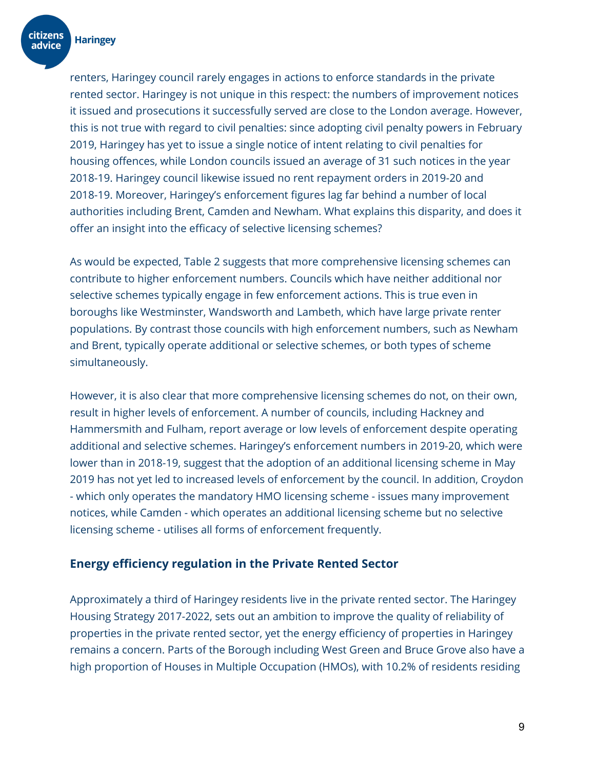

renters, Haringey council rarely engages in actions to enforce standards in the private rented sector. Haringey is not unique in this respect: the numbers of improvement notices it issued and prosecutions it successfully served are close to the London average. However, this is not true with regard to civil penalties: since adopting civil penalty powers in February 2019, Haringey has yet to issue a single notice of intent relating to civil penalties for housing offences, while London councils issued an average of 31 such notices in the year 2018-19. Haringey council likewise issued no rent repayment orders in 2019-20 and 2018-19. Moreover, Haringey's enforcement figures lag far behind a number of local authorities including Brent, Camden and Newham. What explains this disparity, and does it offer an insight into the efficacy of selective licensing schemes?

As would be expected, Table 2 suggests that more comprehensive licensing schemes can contribute to higher enforcement numbers. Councils which have neither additional nor selective schemes typically engage in few enforcement actions. This is true even in boroughs like Westminster, Wandsworth and Lambeth, which have large private renter populations. By contrast those councils with high enforcement numbers, such as Newham and Brent, typically operate additional or selective schemes, or both types of scheme simultaneously.

However, it is also clear that more comprehensive licensing schemes do not, on their own, result in higher levels of enforcement. A number of councils, including Hackney and Hammersmith and Fulham, report average or low levels of enforcement despite operating additional and selective schemes. Haringey's enforcement numbers in 2019-20, which were lower than in 2018-19, suggest that the adoption of an additional licensing scheme in May 2019 has not yet led to increased levels of enforcement by the council. In addition, Croydon - which only operates the mandatory HMO licensing scheme - issues many improvement notices, while Camden - which operates an additional licensing scheme but no selective licensing scheme - utilises all forms of enforcement frequently.

#### **Energy efficiency regulation in the Private Rented Sector**

Approximately a third of Haringey residents live in the private rented sector. The Haringey Housing Strategy 2017-2022, sets out an ambition to improve the quality of reliability of properties in the private rented sector, yet the energy efficiency of properties in Haringey remains a concern. Parts of the Borough including West Green and Bruce Grove also have a high proportion of Houses in Multiple Occupation (HMOs), with 10.2% of residents residing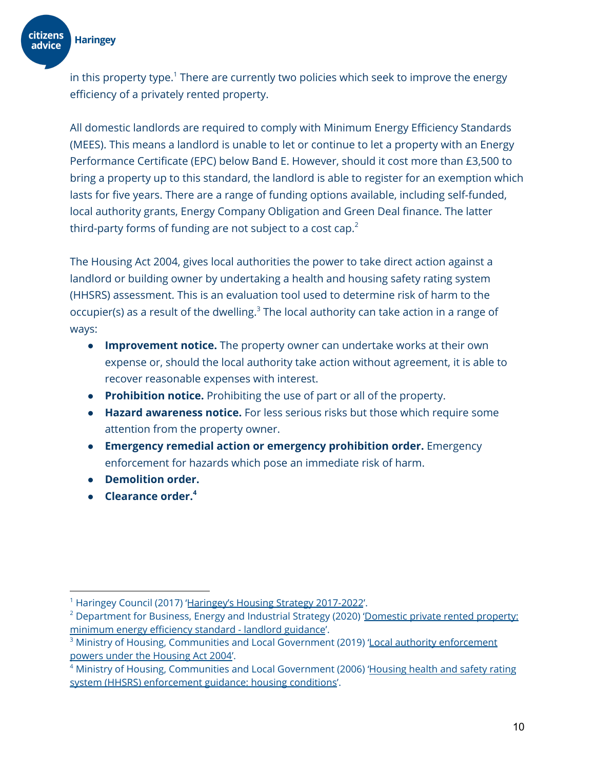

in this property type. $^{\rm 1}$  There are currently two policies which seek to improve the energy efficiency of a privately rented property.

All domestic landlords are required to comply with Minimum Energy Efficiency Standards (MEES). This means a landlord is unable to let or continue to let a property with an Energy Performance Certificate (EPC) below Band E. However, should it cost more than £3,500 to bring a property up to this standard, the landlord is able to register for an exemption which lasts for five years. There are a range of funding options available, including self-funded, local authority grants, Energy Company Obligation and Green Deal finance. The latter third-party forms of funding are not subject to a cost cap. $^2$ 

The Housing Act 2004, gives local authorities the power to take direct action against a landlord or building owner by undertaking a health and housing safety rating system (HHSRS) assessment. This is an evaluation tool used to determine risk of harm to the occupier(s) as a result of the dwelling.<sup>3</sup> The local authority can take action in a range of ways:

- **Improvement notice.** The property owner can undertake works at their own expense or, should the local authority take action without agreement, it is able to recover reasonable expenses with interest.
- **● Prohibition notice.** Prohibiting the use of part or all of the property.
- **● Hazard awareness notice.** For less serious risks but those which require some attention from the property owner.
- **● Emergency remedial action or emergency prohibition order.** Emergency enforcement for hazards which pose an immediate risk of harm.
- **● Demolition order.**
- **● Clearance order. 4**

<sup>&</sup>lt;sup>1</sup> Haringey Council (2017) 'Haringey's Housing Strategy [2017-2022](https://www.haringey.gov.uk/sites/haringeygovuk/files/housing_strategy_2017-2022.pdf)'.

<sup>&</sup>lt;sup>2</sup> Department for Business, Energy and Industrial Strategy (2020) ['Domestic](https://www.gov.uk/guidance/domestic-private-rented-property-minimum-energy-efficiency-standard-landlord-guidance) private rented property: [minimum](https://www.gov.uk/guidance/domestic-private-rented-property-minimum-energy-efficiency-standard-landlord-guidance) energy efficiency standard - landlord guidance'.

 $3$  Ministry of Housing, Communities and Local Government (2019) 'Local authority [enforcement](https://www.gov.uk/government/publications/local-authority-enforcement-powers-under-the-housing-act-2004) powers under the [Housing](https://www.gov.uk/government/publications/local-authority-enforcement-powers-under-the-housing-act-2004) Act 2004'.

<sup>&</sup>lt;sup>4</sup> Ministry of Housing, Communities and Local Government (2006) ['Housing](https://www.gov.uk/government/publications/housing-health-and-safety-rating-system-enforcement-guidance-housing-conditions) health and safety rating system (HHSRS) [enforcement](https://www.gov.uk/government/publications/housing-health-and-safety-rating-system-enforcement-guidance-housing-conditions) guidance: housing conditions'.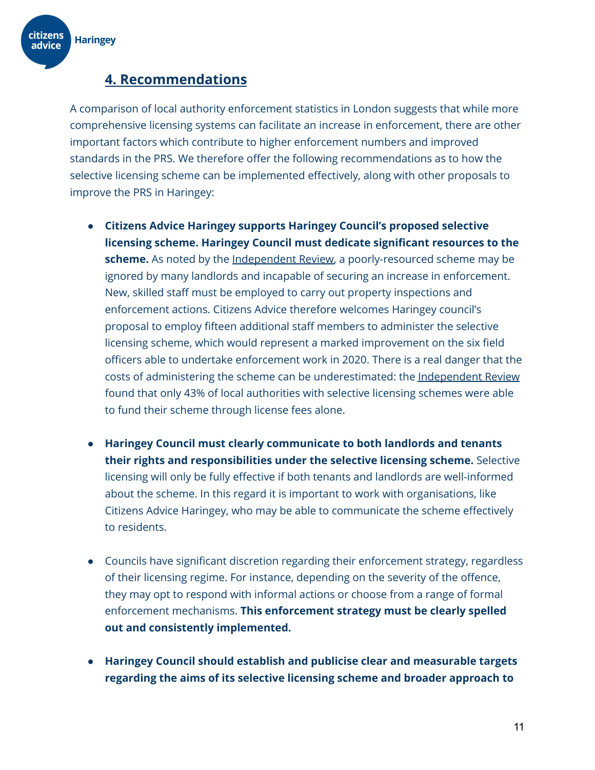

### **4. Recommendations**

A comparison of local authority enforcement statistics in London suggests that while more comprehensive licensing systems can facilitate an increase in enforcement, there are other important factors which contribute to higher enforcement numbers and improved standards in the PRS. We therefore offer the following recommendations as to how the selective licensing scheme can be implemented effectively, along with other proposals to improve the PRS in Haringey:

- **Citizens Advice Haringey supports Haringey Council's proposed selective licensing scheme. Haringey Council must dedicate significant resources to the scheme.** As noted by the [Independent](https://assets.publishing.service.gov.uk/government/uploads/system/uploads/attachment_data/file/833217/Selective_Licensing_Review_2019.pdf) Review, a poorly-resourced scheme may be ignored by many landlords and incapable of securing an increase in enforcement. New, skilled staff must be employed to carry out property inspections and enforcement actions. Citizens Advice therefore welcomes Haringey council's proposal to employ fifteen additional staff members to administer the selective licensing scheme, which would represent a marked improvement on the six field officers able to undertake enforcement work in 2020. There is a real danger that the costs of administering the scheme can be underestimated: the [Independent](https://assets.publishing.service.gov.uk/government/uploads/system/uploads/attachment_data/file/833217/Selective_Licensing_Review_2019.pdf) Review found that only 43% of local authorities with selective licensing schemes were able to fund their scheme through license fees alone.
- **● Haringey Council must clearly communicate to both landlords and tenants their rights and responsibilities under the selective licensing scheme.** Selective licensing will only be fully effective if both tenants and landlords are well-informed about the scheme. In this regard it is important to work with organisations, like Citizens Advice Haringey, who may be able to communicate the scheme effectively to residents.
- Councils have significant discretion regarding their enforcement strategy, regardless of their licensing regime. For instance, depending on the severity of the offence, they may opt to respond with informal actions or choose from a range of formal enforcement mechanisms. **This enforcement strategy must be clearly spelled out and consistently implemented.**
- **Haringey Council should establish and publicise clear and measurable targets regarding the aims of its selective licensing scheme and broader approach to**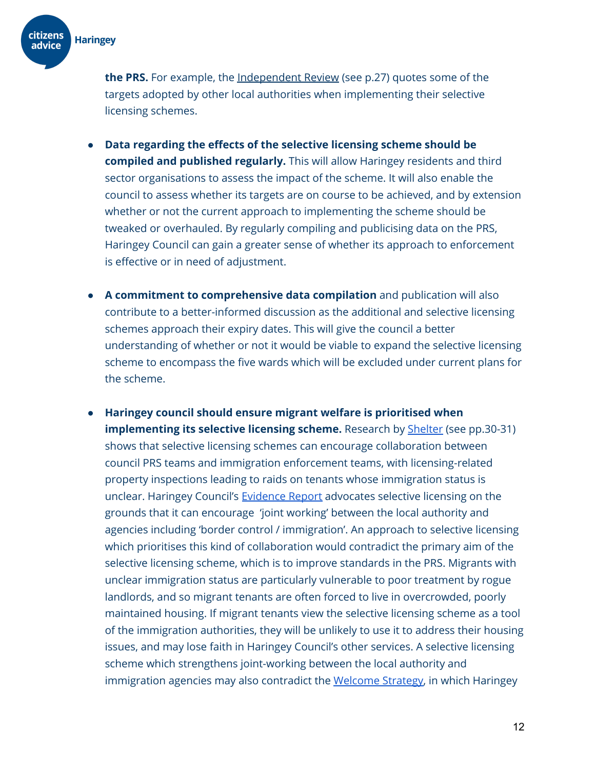

**the PRS.** For example, the [Independent](https://assets.publishing.service.gov.uk/government/uploads/system/uploads/attachment_data/file/833217/Selective_Licensing_Review_2019.pdf) Review (see p.27) quotes some of the targets adopted by other local authorities when implementing their selective licensing schemes.

- **Data regarding the effects of the selective licensing scheme should be compiled and published regularly.** This will allow Haringey residents and third sector organisations to assess the impact of the scheme. It will also enable the council to assess whether its targets are on course to be achieved, and by extension whether or not the current approach to implementing the scheme should be tweaked or overhauled. By regularly compiling and publicising data on the PRS, Haringey Council can gain a greater sense of whether its approach to enforcement is effective or in need of adjustment.
- **A commitment to comprehensive data compilation** and publication will also contribute to a better-informed discussion as the additional and selective licensing schemes approach their expiry dates. This will give the council a better understanding of whether or not it would be viable to expand the selective licensing scheme to encompass the five wards which will be excluded under current plans for the scheme.
- **Haringey council should ensure migrant welfare is prioritised when implementing its selective licensing scheme.** Research by **[Shelter](https://assets.ctfassets.net/6sxvmndnpn0s/3R0HmOiANKhLWP5y5XCrz9/1c13d81c0d37af0090e741783af997c1/Time_for_Change_-_Making_Renting_Fairer_for_Private_Renters.pdf)** (see pp.30-31) shows that selective licensing schemes can encourage collaboration between council PRS teams and immigration enforcement teams, with licensing-related property inspections leading to raids on tenants whose immigration status is unclear. Haringey Council's **[Evidence](https://www.haringey.gov.uk/sites/haringeygovuk/files/evidence_report_for_consultation_final.pdf) Report** advocates selective licensing on the grounds that it can encourage 'joint working' between the local authority and agencies including 'border control / immigration'. An approach to selective licensing which prioritises this kind of collaboration would contradict the primary aim of the selective licensing scheme, which is to improve standards in the PRS. Migrants with unclear immigration status are particularly vulnerable to poor treatment by rogue landlords, and so migrant tenants are often forced to live in overcrowded, poorly maintained housing. If migrant tenants view the selective licensing scheme as a tool of the immigration authorities, they will be unlikely to use it to address their housing issues, and may lose faith in Haringey Council's other services. A selective licensing scheme which strengthens joint-working between the local authority and immigration agencies may also contradict the [Welcome](https://www.haringey.gov.uk/sites/haringeygovuk/files/welcome_strategy_web_version.pdf) Strategy, in which Haringey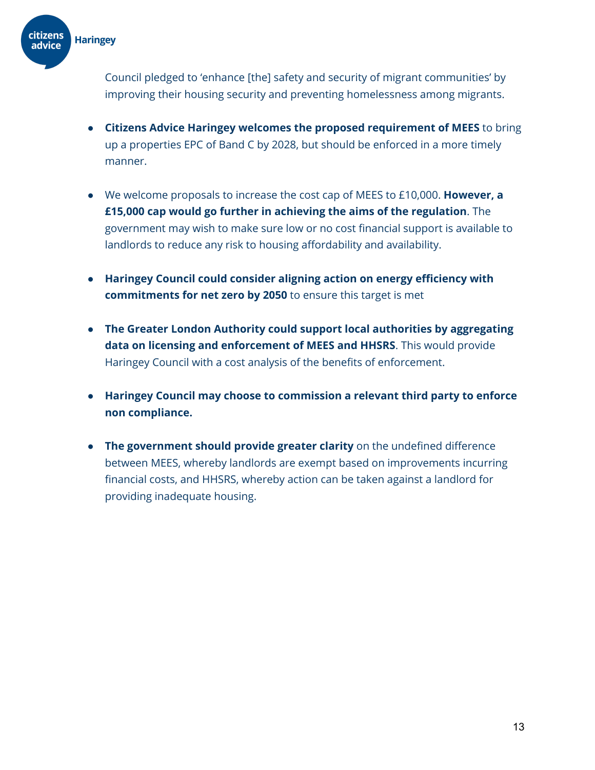**citizens Haringey** advice

> Council pledged to 'enhance [the] safety and security of migrant communities' by improving their housing security and preventing homelessness among migrants.

- **Citizens Advice Haringey welcomes the proposed requirement of MEES** to bring up a properties EPC of Band C by 2028, but should be enforced in a more timely manner.
- We welcome proposals to increase the cost cap of MEES to £10,000. **However, a £15,000 cap would go further in achieving the aims of the regulation**. The government may wish to make sure low or no cost financial support is available to landlords to reduce any risk to housing affordability and availability.
- **Haringey Council could consider aligning action on energy efficiency with commitments for net zero by 2050** to ensure this target is met
- **The Greater London Authority could support local authorities by aggregating data on licensing and enforcement of MEES and HHSRS**. This would provide Haringey Council with a cost analysis of the benefits of enforcement.
- **Haringey Council may choose to commission a relevant third party to enforce non compliance.**
- **The government should provide greater clarity** on the undefined difference between MEES, whereby landlords are exempt based on improvements incurring financial costs, and HHSRS, whereby action can be taken against a landlord for providing inadequate housing.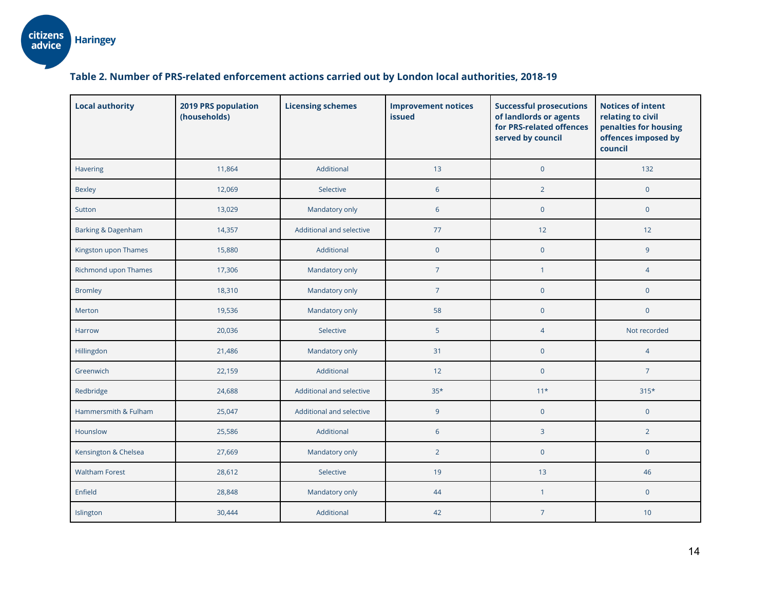#### **Table 2. Number of PRS-related enforcement actions carried out by London local authorities, 2018-19**

| <b>Local authority</b>        | 2019 PRS population<br>(households) | <b>Licensing schemes</b> | <b>Improvement notices</b><br><b>issued</b> | <b>Successful prosecutions</b><br>of landlords or agents<br>for PRS-related offences<br>served by council | <b>Notices of intent</b><br>relating to civil<br>penalties for housing<br>offences imposed by<br>council |
|-------------------------------|-------------------------------------|--------------------------|---------------------------------------------|-----------------------------------------------------------------------------------------------------------|----------------------------------------------------------------------------------------------------------|
| <b>Havering</b>               | 11,864                              | Additional               | 13                                          | $\pmb{0}$                                                                                                 | 132                                                                                                      |
| <b>Bexley</b>                 | 12,069                              | Selective                | 6                                           | $\overline{2}$                                                                                            | $\mathbf 0$                                                                                              |
| Sutton                        | 13,029                              | Mandatory only           | $6\phantom{1}6$                             | $\pmb{0}$                                                                                                 | $\mathbf 0$                                                                                              |
| <b>Barking &amp; Dagenham</b> | 14,357                              | Additional and selective | 77                                          | 12                                                                                                        | 12                                                                                                       |
| Kingston upon Thames          | 15,880                              | Additional               | $\mathbf 0$                                 | $\pmb{0}$                                                                                                 | 9                                                                                                        |
| Richmond upon Thames          | 17,306                              | Mandatory only           | $\overline{7}$                              | $\mathbf{1}$                                                                                              | $\overline{4}$                                                                                           |
| <b>Bromley</b>                | 18,310                              | Mandatory only           | $\overline{7}$                              | $\mathbf 0$                                                                                               | $\mathbf 0$                                                                                              |
| Merton                        | 19,536                              | Mandatory only           | 58                                          | $\mathbf 0$                                                                                               | $\mathbf 0$                                                                                              |
| <b>Harrow</b>                 | 20,036                              | Selective                | 5                                           | $\overline{4}$                                                                                            | Not recorded                                                                                             |
| Hillingdon                    | 21,486                              | Mandatory only           | 31                                          | $\mathbf 0$                                                                                               | $\overline{4}$                                                                                           |
| Greenwich                     | 22,159                              | Additional               | 12                                          | $\overline{0}$                                                                                            | $\overline{7}$                                                                                           |
| Redbridge                     | 24,688                              | Additional and selective | $35*$                                       | $11*$                                                                                                     | $315*$                                                                                                   |
| Hammersmith & Fulham          | 25,047                              | Additional and selective | $\overline{9}$                              | $\pmb{0}$                                                                                                 | $\mathbf 0$                                                                                              |
| Hounslow                      | 25,586                              | Additional               | 6                                           | 3                                                                                                         | $\overline{2}$                                                                                           |
| Kensington & Chelsea          | 27,669                              | Mandatory only           | $\overline{2}$                              | $\mathbf 0$                                                                                               | $\mathbf 0$                                                                                              |
| <b>Waltham Forest</b>         | 28,612                              | Selective                | 19                                          | 13                                                                                                        | 46                                                                                                       |
| Enfield                       | 28,848                              | Mandatory only           | 44                                          | $\mathbf{1}$                                                                                              | $\mathbf 0$                                                                                              |
| Islington                     | 30,444                              | Additional               | 42                                          | $\overline{7}$                                                                                            | 10                                                                                                       |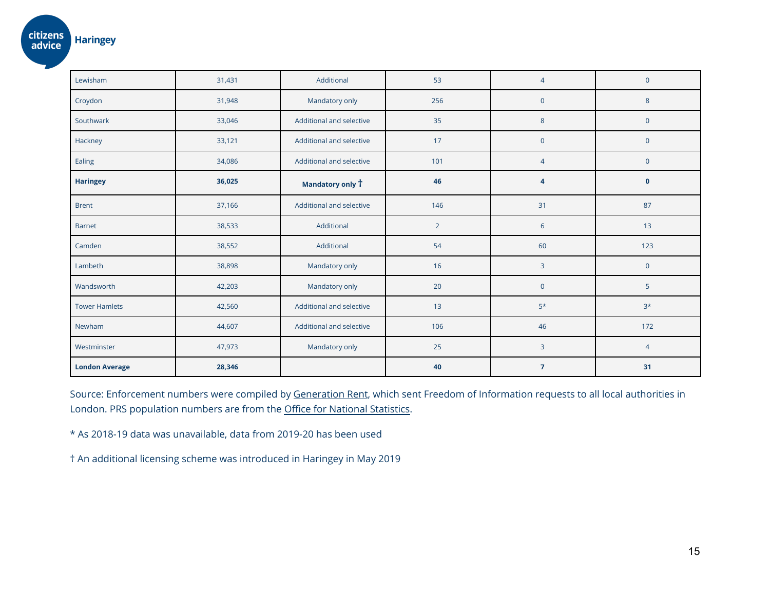| Lewisham              | 31,431 | Additional               | 53             | $\overline{4}$   | $\pmb{0}$           |
|-----------------------|--------|--------------------------|----------------|------------------|---------------------|
| Croydon               | 31,948 | Mandatory only           | 256            | $\overline{0}$   | $\bf 8$             |
| Southwark             | 33,046 | Additional and selective | 35             | $8\phantom{1}$   | $\pmb{0}$           |
| Hackney               | 33,121 | Additional and selective | 17             | $\overline{0}$   | $\pmb{0}$           |
| Ealing                | 34,086 | Additional and selective | 101            | $\overline{4}$   | $\pmb{0}$           |
| <b>Haringey</b>       | 36,025 | Mandatory only T         | 46             | $\boldsymbol{A}$ | $\mathbf 0$         |
| <b>Brent</b>          | 37,166 | Additional and selective | 146            | 31               | 87                  |
| <b>Barnet</b>         | 38,533 | Additional               | $\overline{2}$ | 6                | 13                  |
| Camden                | 38,552 | Additional               | 54             | 60               | 123                 |
| Lambeth               | 38,898 | Mandatory only           | 16             | $\overline{3}$   | $\mathsf{O}\xspace$ |
| Wandsworth            | 42,203 | Mandatory only           | 20             | $\mathbf 0$      | 5                   |
| <b>Tower Hamlets</b>  | 42,560 | Additional and selective | 13             | $5*$             | $3*$                |
| Newham                | 44,607 | Additional and selective | 106            | 46               | 172                 |
| Westminster           | 47,973 | Mandatory only           | 25             | 3                | $\overline{4}$      |
| <b>London Average</b> | 28,346 |                          | 40             | $\overline{7}$   | 31                  |

Source: Enforcement numbers were compiled by [Generation](https://www.generationrent.org/three_quarters_of_tenants_in_unsafe_homes_go_unprotected) Rent, which sent Freedom of Information requests to all local authorities in London. PRS population numbers are from the Office for National [Statistics.](https://www.ons.gov.uk/peoplepopulationandcommunity/housing/datasets/subnationalestimatesofhouseholdsbytenureengland)

\* As 2018-19 data was unavailable, data from 2019-20 has been used

† An additional licensing scheme was introduced in Haringey in May 2019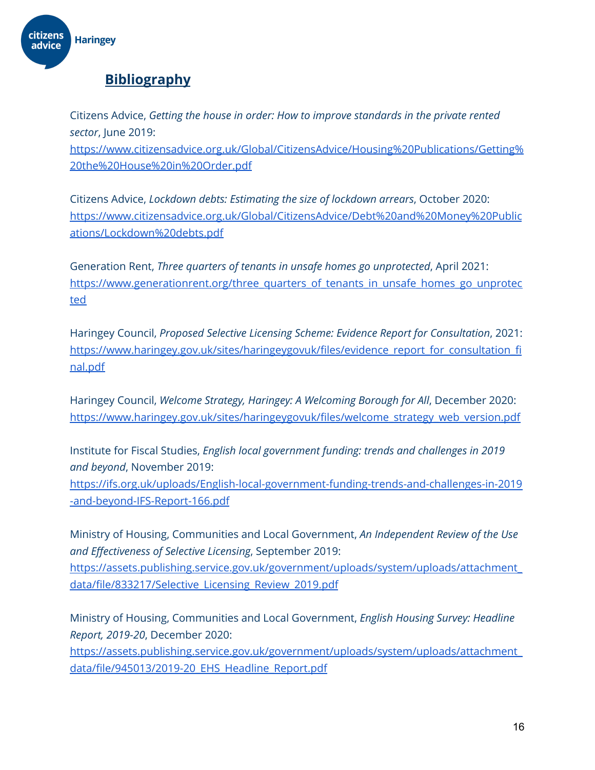

## **Bibliography**

Citizens Advice, *Getting the house in order: How to improve standards in the private rented sector*, June 2019:

[https://www.citizensadvice.org.uk/Global/CitizensAdvice/Housing%20Publications/Getting%](https://www.citizensadvice.org.uk/Global/CitizensAdvice/Housing%20Publications/Getting%20the%20House%20in%20Order.pdf) [20the%20House%20in%20Order.pdf](https://www.citizensadvice.org.uk/Global/CitizensAdvice/Housing%20Publications/Getting%20the%20House%20in%20Order.pdf)

Citizens Advice, *Lockdown debts: Estimating the size of lockdown arrears*, October 2020: [https://www.citizensadvice.org.uk/Global/CitizensAdvice/Debt%20and%20Money%20Public](https://www.citizensadvice.org.uk/Global/CitizensAdvice/Debt%20and%20Money%20Publications/Lockdown%20debts.pdf) [ations/Lockdown%20debts.pdf](https://www.citizensadvice.org.uk/Global/CitizensAdvice/Debt%20and%20Money%20Publications/Lockdown%20debts.pdf)

Generation Rent, *Three quarters of tenants in unsafe homes go unprotected*, April 2021: [https://www.generationrent.org/three\\_quarters\\_of\\_tenants\\_in\\_unsafe\\_homes\\_go\\_unprotec](https://www.generationrent.org/three_quarters_of_tenants_in_unsafe_homes_go_unprotected) [ted](https://www.generationrent.org/three_quarters_of_tenants_in_unsafe_homes_go_unprotected)

Haringey Council, *Proposed Selective Licensing Scheme: Evidence Report for Consultation*, 2021: [https://www.haringey.gov.uk/sites/haringeygovuk/files/evidence\\_report\\_for\\_consultation\\_fi](https://www.haringey.gov.uk/sites/haringeygovuk/files/evidence_report_for_consultation_final.pdf) [nal.pdf](https://www.haringey.gov.uk/sites/haringeygovuk/files/evidence_report_for_consultation_final.pdf)

Haringey Council, *Welcome Strategy, Haringey: A Welcoming Borough for All*, December 2020: [https://www.haringey.gov.uk/sites/haringeygovuk/files/welcome\\_strategy\\_web\\_version.pdf](https://www.haringey.gov.uk/sites/haringeygovuk/files/welcome_strategy_web_version.pdf)

Institute for Fiscal Studies, *English local government funding: trends and challenges in 2019 and beyond*, November 2019:

[https://ifs.org.uk/uploads/English-local-government-funding-trends-and-challenges-in-2019](https://ifs.org.uk/uploads/English-local-government-funding-trends-and-challenges-in-2019-and-beyond-IFS-Report-166.pdf) [-and-beyond-IFS-Report-166.pdf](https://ifs.org.uk/uploads/English-local-government-funding-trends-and-challenges-in-2019-and-beyond-IFS-Report-166.pdf)

Ministry of Housing, Communities and Local Government, *An Independent Review of the Use and Effectiveness of Selective Licensing*, September 2019: [https://assets.publishing.service.gov.uk/government/uploads/system/uploads/attachment\\_](https://assets.publishing.service.gov.uk/government/uploads/system/uploads/attachment_data/file/833217/Selective_Licensing_Review_2019.pdf) [data/file/833217/Selective\\_Licensing\\_Review\\_2019.pdf](https://assets.publishing.service.gov.uk/government/uploads/system/uploads/attachment_data/file/833217/Selective_Licensing_Review_2019.pdf)

Ministry of Housing, Communities and Local Government, *English Housing Survey: Headline Report, 2019-20*, December 2020:

[https://assets.publishing.service.gov.uk/government/uploads/system/uploads/attachment\\_](https://assets.publishing.service.gov.uk/government/uploads/system/uploads/attachment_data/file/945013/2019-20_EHS_Headline_Report.pdf) [data/file/945013/2019-20\\_EHS\\_Headline\\_Report.pdf](https://assets.publishing.service.gov.uk/government/uploads/system/uploads/attachment_data/file/945013/2019-20_EHS_Headline_Report.pdf)